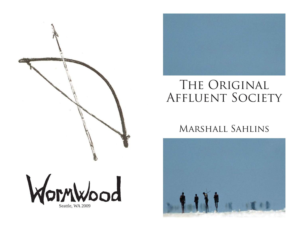



# The Original AFFLUENT SOCIETY

## Marshall Sahlins

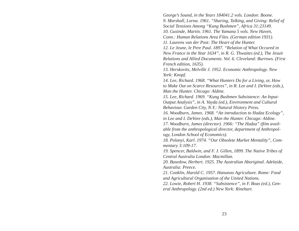*George's Sound, in the Years 184041.2 vols. London: Boone. 9. Marshall, Lorna. 1961. "Sharing, Talking, and Giving: Relief of Social Tensions Among "Kung Bushmen", Africa 31:23149. 10. Gusinde, Martin. 1961. The Yamana 5 vols. New Haven, Conn.: Human Relations Area Files. (German edition 1931). 11. Laurens van der Post: The Heart of the Hunter. 12. Le Jeune, le Pere Paul. 1897. "Relation of What Occured in New France in the Year 1634", in R. G. Thwaites (ed.), The Jesuit Relations and Allied Documents. Vol. 6. Cleveland: Burrows. (First French edition, 1635). 13. Herskovits, Melville J. 1952. Economic Anthropology. New York: Knopf.* 

*14. Lee, Richard. 1968. "What Hunters Do for a Living, or, How to Make Out on Scarce Resources", in R. Lee and I. DeVore (eds.), Man the Hunter. Chicago: Aldine.* 

*15. Lee, Richard. 1969. "Kung Bushmen Subsistence: An Input-Output Analysis", in A. Vayda (ed.), Environment and Cultural Behaviour. Garden City, N.Y.: Natural History Press.* 

*16. Woodburn, James. 1968. "An introduction to Hadza Ecology", in Lee and I. DeVore (eds.), Man the Hunter. Chicago: Aldine.* 

17. Woodburn, James (director). 1966: "The Hadza" (*film available from the anthropological director, department of Anthropology, London School of Economics).* 

*18. Polanyi, Karl. 1974. "Our Obsolete Market Mentality", Commentary 3:109-17.* 

*19. Spencer, Baldwin, and F. J. Gillen, 1899. The Native Tribes of Central Australia London: Macmillan.* 

*20. Basedow, Herbert. 1925. The Australian Aboriginal. Adelaide, Australia: Preece.* 

*21. Conklin, Harold C. 1957. Hanunoo Agriculture. Rome: Food and Agricultural Organisation of the United Nations.* 

*22. Lowie, Robert H. 1938. "Subsistence", in F. Boas (ed.), General Anthropology. (2nd ed.) New York: Rinehart.*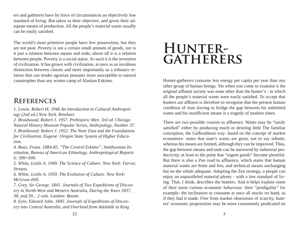ers and gatherers have by force of circumstances an objectively low standard of living. But taken as their objective, and given their adequate means of production. All the people's material wants usually can be easily satisfied.

The world's most primitive people have few possessions, but they are not poor. Poverty is not a certain small amount of goods, nor is it just a relation between means and ends; above all it is a relation between people. Poverty is a social status. As such it is the invention of civilization. It has grown with civilization, at once as an invidious distinction between classes and more importantly as a tributary relation that can render agrarian peasants more susceptible to natural catastrophes than any winter camp of Alaskan Eskimo.

#### **References**

*1. Lowie, Robert H; 1946 An introduction to Cultural Anthropology (2nd ed.) New York. Rinehart.* 

*2. Braidwood, Robert J. 1957. Prehistoric Men. 3rd ed. Chicago Natural History Museum Popular Series, Anthrpology, Number 37. 3. Braidwood; Robert J. 1952. The Near East and the Foundations for Civilisation. Eugene: Oregon State System of Higher Education.* 

*4. Boas, Franz. 1884-85. "The Central Eskimo", Smithsonian Institution, Bureau of American Ethnology, Anthropological Reports 6: 399=699.* 

*5. White, Leslie A. 1949. The Science of Culture. New York: Farrar, Strauss.* 

*6. White, Leslie A. 1959. The Evolution of Culture. New York: McGraw-Hill.* 

*7. Grey, Sir George. 1841. Journals of Two Expeditions of Discovery in North-West and Western Australia, During the Years 1837, 38, and 39... 2 vols. London: Boone.* 

*8. Eyre, Edward John. 1845. Journals of Expeditions of Discovery into Central Australia, and Overland from Adelalde to King* 

# HUNTER**gatherers**

Hunter-gatherers consume less energy per capita per year than any other group of human beings. Yet when you come to examine it the original affluent society was none other than the hunter's - in which all the people's material wants were easily satisfied. To accept that hunters are affluent is therefore to recognise that the present human condition of man slaving to bridge the gap between his unlimited wants and his insufficient means is a tragedy of modern times.

There are two possible courses to affluence. Wants may be "easily" satisfied" either by producing much or desiring little The familiar conception, the Galbraithean way- based on the concept of market economies- states that man's wants are great, not to say infinite, whereas his means are limited, although they can be improved. Thus, the gap between means and ends can be narrowed by industrial productivity, at least to the point that "urgent goods" become plentiful. But there is also a Zen road to affluence, which states that human material wants are finite and few, and technical means unchanging but on the whole adequate. Adopting the Zen strategy, a people can enjoy an unparalleled material plenty - with a low standard of living. That, I think, describes the hunters. And it helps explain some of their more curious economic behaviour: their "prodigality" for example- the inclination to consume at once all stocks on hand, as if they had it made. Free from market obsessions of scarcity, hunters' economic propensities may be more consistently predicated on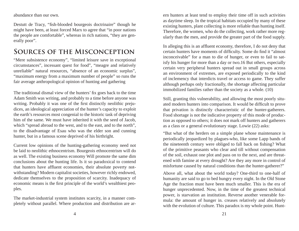abundance than our own.

Destutt de Tracy, " fi sh-blooded bourgeois doctrinaire" though he might have been, at least forced Marx to agree that "in poor nations the people are comfortable", whereas in rich nations, "they are generally poor".

### **Sources of the Misconception**

"Mere subsistence economy", "limited leisure save in exceptional circumstances", incessant quest for food", "meagre and relatively unreliable" natural resources, "absence of an economic surplus", "maximum energy from a maximum number of people" so runs the fair average anthropological opinion of hunting and gathering

The traditional dismal view of the hunters' fix goes back to the time Adam Smith was writing, and probably to a time before anyone was writing. Probably it was one of the first distinctly neolithic prejudices, an ideological appreciation of the hunter's capacity to exploit the earth's resources most congenial to the historic task of depriving him of the same. We must have inherited it with the seed of Jacob, which "spread abroad to the west, and to the east, and to the north", to the disadvantage of Esau who was the elder son and cunning hunter, but in a famous scene deprived of his birthright.

Current low opinions of the hunting-gathering economy need not be laid to neolithic ethnocentrism. Bourgeois ethnocentrism will do as well. The existing business economy Will promote the same dim conclusions about the hunting life. Is it so paradoxical to contend that hunters have affluent economies, their absolute poverty notwithstanding? Modern capitalist societies, however richly endowed, dedicate themselves to the proposition of scarcity. Inadequacy of economic means is the first principle of the world's wealthiest peoples.

The market-industrial system institutes scarcity, in a manner completely without parallel. Where production and distribution are arern hunters at least tend to employ their time off in such activities as daytime sleep. In the tropical habitats occupied by many of these existing hunters, plant collecting is more reliable than hunting itself. Therefore, the women, who do the collecting, work rather more regularly than the men, and provide the greater part of the food supply.

In alleging this is an affluent economy, therefore, I do not deny that certain hunters have moments of difficulty. Some do find it "almost inconceivable" for a man to die of hunger, or even to fail to satisfy his hunger for more than a day or two.16 But others, especially certain very peripheral hunters spread out in small groups across an environment of extremes, are exposed periodically to the kind of inclemency that interdicts travel or access to game. They suffer although perhaps only fractionally, the shortage affecting particular immobilized families rather than the society as a whole. (10)

Still, granting this vulnerability, and allowing the most poorly situated modern hunters into comparison. It would be difficult to prove that privation is distinctly characteristic of the hunter-gatherers. Food shortage is not the indicative property of this mode of production as opposed to others; it does not mark off hunters and gatherers as a class or a general evolutionary stage. Lowie (22) asks:

"But what of the herders on a simple plane whose maintenance is periodically jeopardized by plagues-who, like some Lapp bands of the nineteenth century were obliged to fall back on fishing? What of the primitive peasants who clear and till without compensation of the soil, exhaust one plot and pass on to the next, and are threatened with famine at every drought? Are they any more in control of misfortune caused by natural conditions than the hunter-gatherer?"

Above all, what about the world today? One-third to one-half of humanity are said to go to bed hungry every night. In the Old Stone Age the fraction must have been much smaller. This is the era of hunger unprecedented. Now, in the time of the greatest technical power, is starvation an institution. Reverse another venerable formula: the amount of hunger in. creases relatively and absolutely with the evolution of culture. This paradox is my whole point. Hunt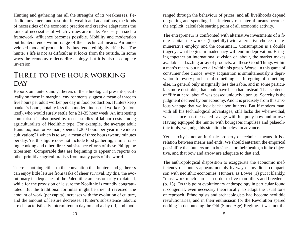Hunting and gathering has all the strengths of its weaknesses. Periodic movement and restraint in wealth and adaptations, the kinds of necessities of the economic practice and creative adaptations the kinds of necessities of which virtues are made. Precisely in such a framework, affluence becomes possible. Mobility and moderation put hunters' ends within range of their technical means. An undeveloped mode of production is thus rendered highly effective. The hunter's life is not as difficult as it looks from the outside. In some ways the economy reflects dire ecology, but it is also a complete inversion.

#### **Three to five hour working** DAY

Reports on hunters and gatherers of the ethnological present-specifically on those in marginal environments suggest a mean of three to five hours per adult worker per day in food production. Hunters keep banker's hours, notably less than modern industrial workers (unionized), who would surely settle for a 21-35 hour week. An interesting comparison is also posed by recent studies of labour costs among agriculturalists of Neolithic type. For example, the average adult Hanunoo, man or woman, spends 1,200 hours per year in swidden cultivation;21 which is to say, a mean of three hours twenty minutes per day. Yet this figure does not include food gathering, animal raising, cooking and other direct subsistence efforts of these Philippine tribesmen. Comparable data are beginning to appear in reports on other primitive agriculturalists from many parts of the world.

There is nothing either to the convention that hunters and gatherers can enjoy little leisure from tasks of sheer survival. By this, the evolutionary inadequacies of the Paleolithic are customarily explained, while for the provision of leisure the Neolithic is roundly congratulated. But the traditional formulas might be truer if reversed: the amount of work (per capita) increases with the evolution of culture, and the amount of leisure decreases. Hunter's subsistence labours are characteristically intermittent, a day on and a day off, and modranged through the behaviour of prices, and all livelihoods depend on getting and spending, insufficiency of material means becomes the explicit, calculable starting point of all economic activity.

The entrepreneur is confronted with alternative investments of a finite capital, the worker (hopefully) with alternative choices of remunerative employ, and the consumer... Consumption is a double tragedy: what begins in inadequacy will end in deprivation. Bringing together an international division of labour, the market makes available a dazzling array of products: all these Good Things within a man's reach- but never all within his grasp. Worse, in this game of consumer free choice, every acquisition is simultaneously a deprivation for every purchase of something is a foregoing of something else, in general only marginally less desirable, and in some particulars more desirable, that could have been had instead. That sentence of "life at hard labour" was passed uniquely upon us. Scarcity is the judgment decreed by our economy. And it is precisely from this anxious vantage that we look back upon hunters. But if modern man, with all his technological advantages, still lacks the wherewithal, what chance has the naked savage with his puny bow and arrow? Having equipped the hunter with bourgeois impulses and palaeolithic tools, we judge his situation hopeless in advance.

Yet scarcity is not an intrinsic property of technical means. It is a relation between means and ends. We should entertain the empirical possibility that hunters are in business for their health, a finite objective, and that bow and arrow are adequate to that end.

The anthropological disposition to exaggerate the economic inefficiency of hunters appears notably by way of invidious comparison with neolithic economies. Hunters, as Lowie (1) put it blankly, "must work much harder in order to live than tillers and breeders" (p. 13). On this point evolutionary anthropology in particular found it congenial, even necessary theoretically, to adopt the usual tone of reproach. Ethnologists and archaeologists had become neolithic revolutionaries, and in their enthusiasm for the Revolution spared nothing in denouncing the Old (Stone Age) Regime. It was not the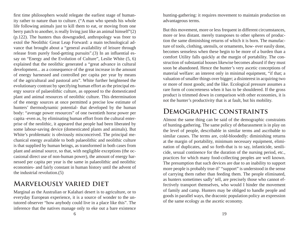first time philosophers would relegate the earliest stage of humanity rather to nature than to culture. ("A man who spends his whole life following animals just to kill them to eat, or moving from one berry patch to another, is really living just like an animal himself"(2) (p.122). The hunters thus downgraded, anthropology was freer to extol the Neolithic Great Leap Forward: a main technological advance that brought about a "general availability of leisure through release from purely food-getting pursuits". (3) In an influential essay on "Energy and the Evolution of Culture", Leslie White (5, 6) explained that the neolithic generated a "great advance in cultural development... as a consequence of the great increase in the amount of energy harnessed and controlled per capita per year by means of the agricultural and pastoral arts". White further heightened the evolutionary contrast by specifying human effort as the principal energy source of palaeolithic culture, as opposed to the domesticated plant and animal resources of neolithic culture. This determination of the energy sources at once permitted a precise low estimate of hunters' thermodynamic potential- that developed by the human body: "average power resources" of one twentieth horse power per capita -even as, by eliminating human effort from the cultural enterprise of the neolithic, it appeared that people had been liberated by some labour-saving device (domesticated plants and animals). But White's problematic is obviously misconceived. The principal mechanical energy available to both palaeolithic and neolithic culture is that supplied by human beings, as transformed in both cases from plant and animal source, so that, with negligible exceptions (the occasional direct use of non-human power), the amount of energy harnessed per capita per year is the same in palaeolithic and neolithic economies- and fairly constant in human history until the advent of the industrial revolution.(5)

#### **Marvelously varied diet**

Marginal as the Australian or Kalahari desert is to agriculture, or to everyday European experience, it is a source of wonder to the untutored observer "how anybody could live in a place like this". The inference that the natives manage only to eke out a bare existence

hunting-gathering: it requires movement to maintain production on advantageous terms.

But this movement, more or less frequent in different circumstances, more or less distant. merely transposes to other spheres of production the same diminishing returns of which it is born. The manufacture of tools, clothing, utensils, or ornaments, how- ever easily done, becomes senseless when these begin to be more of a burden than a comfort Utility falls quickly at the margin of portability. The construction of substantial houses likewise becomes absurd if they must soon be abandoned. Hence the hunter's very ascetic conceptions of material welfare: an interest only in minimal equipment, "if that; a valuation of smaller things over bigger; a disinterest in acquiring two or more of most goods; and the like. Ecological pressure assumes a rare form of concreteness when it has to be shouldered. If the gross product is trimmed down in comparison with other economies, it is not the hunter's productivity that is at fault, but his mobility.

#### **Demographic constraints**

Almost the same thing can be said of the demographic constraints of hunting-gathering. The same policy of debarassment is in play on the level of people, describable in similar terms and ascribable to similar causes. The terms are, cold-bloodedly: diminishing returns at the margin of portability, minimum necessary equipment, elimination of duplicates, and so forth-that is to say, infanticide, senilicide, sexual continence for the duration of the nursing period, etc., practices for which many food-collecting peoples are well known. The presumption that such devices are due to an inability to support more people is probably true-if' "support" is understood in the sense of carrying them rather than feeding them. The people eliminated, as hunters sometimes sadly' tell, are precisely those who cannot effectively transport themselves, who would I hinder the movement of family and camp. Hunters may be obliged to handle people and goods in parallel ways, the draconic population policy an expression of the same ecology as the ascetic economy.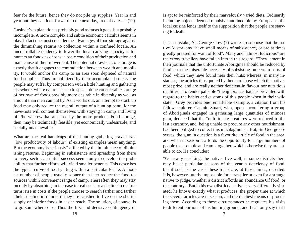fear for the future, hence they do not pile up supplies. Year in and year out they can look forward to the next day, free of care...." (12)

Gusinde's explanation is probably good as far as it goes, but probably incomplete. A more complex and subtle economic calculus seems in play. In fact one must consider the advantages of food storage against the diminishing returns to collection within a confined locale. An uncontrollable tendency to lower the local carrying capacity is for hunters au fond des choses: a basic condition of their production and main cause of their movement. The potential drawback of storage is exactly that it engages the contradiction between wealth and mobility. It would anchor the camp to an area soon depleted of natural food supplies. Thus immobilized by their accumulated stocks, the people may suffer by comparison with a little hunting and gathering elsewhere, where nature has, so to speak, done considerable storage of her own-of foods possibly more desirable in diversity as well as amount than men can put by. As it works out, an attempt to stock up food may only reduce the overall output of a hunting band, for the have-nots will content themselves with staying in camp and living off !he wherewithal amassed by the more prudent. Food storage, then, may be technically feasible, yet economically undesirable, and socially unachievable.

What are the real handicaps of the hunting-gathering praxis? Not "low productivity of labour", if existing examples mean anything. But the economy is seriously" afflicted by the imminence of diminishing returns. Beginning in subsistence and spreading from there to every sector, an initial success seems only to develop the probability that further efforts will yield smaller benefits. This describes the typical curve of food-getting within a particular locale. A modest number of people usually sooner than later reduce the food resources within convenient range of camp. Thereafter, they may stay on only by absorbing an increase in real costs or a decline in real returns: rise in costs if the people choose to search farther and farther afield, decline in returns if they are satisfied to live on the shorter supply or inferior foods in easier reach. The solution, of course, is to go somewhere else. Thus the first and decisive contingency of

is apt to be reinforced by their marvelously varied diets. Ordinarily including objects deemed repulsive and inedible by Europeans, the local cuisine lends itself to the supposition that the people are starving to death.

It is a mistake, Sir George Grey (7) wrote, to suppose that the native Australians "have small means of subsistence, or are at times greatly pressed for want of food". Many and "almost ludicrous" are the errors travellers have fallen into in this regard: "They lament in their journals that the unfortunate Aborigines should be reduced by famine to the miserable necessity of subsisting on certain sorts of food, which they have found near their huts; whereas, in many instances, the articles thus quoted by them are those which the natives most prize, and are really neither deficient in flavour nor nutritious qualities". To render palpable "the ignorance that has prevailed with regard to the habits and customs of this people when in their wild state", Grey provides one remarkable example, a citation from his fellow explorer, Captain Stuart, who, upon encountering a group of Aboriginals engaged in gathering large quantities of mimosa gum, deduced that the "unfortunate creatures were reduced to the last extremity, and, being unable to procure any other nourishment, had been obliged to collect this mucilaginous". But, Sir George observes, the gum in question is a favourite article of food in the area, and when in season it affords the opportunity for large numbers of people to assemble and camp together, which otherwise they are unable to do. He concludes:

"Generally speaking, the natives live well; in some districts there may be at particular seasons of the year a deficiency of food, but if such is the case, these tracts are, at those times, deserted. It is, however, utterly impossible for a traveller or even for a strange native to judge. whether a district affords an abundance Of food, or the contrary... But in his own district a native is very differently situated; he knows exactly what it produces, the proper time at which the several articles are in season, and the readiest means of procuring them. According to these circumstances he regulates his visits to different portions of his hunting ground; and I can only say that l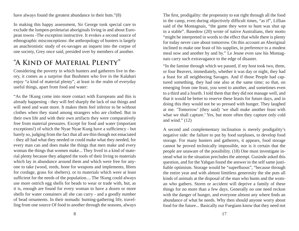have always found the greatest abundance in their huts."(8)

In making this happy assessment, Sir George took special care to exclude the lumpen-proletariat aboriginals living in and about European towns -The exception instructive. It evokes a second source of ethnographic misconceptions: the anthropology of hunters is largely an anachronistic study of ex-savages an inquest into the corpse of one society, Grey once said, presided over by members of another.

### **"A Kind of Material Plenty"**

Considering the poverty in which hunters and gatherers live in theory, it comes as a surprise that Bushmen who live in the Kalahari enjoy "a kind of material plenty", at least in the realm of everyday useful things, apart from food and water:

"As the !Kung come into more contact with Europeans and this is already happening - they will feel sharply the lack of our things and will need and want more. It makes them feel inferior to be without clothes when they stand among strangers who are clothed. But in their own life and with their own artifacts they were comparatively free from material pressures. Except for food and water (important exceptions!) of which the Nyae Nyae Kung have a sufficiency - but barely so, judging from the fact that all are thin though not emaciated - they all had what they needed or could make what they needed, for every man can and does make the things that men make and every woman the things that women make... They lived in a kind of material plenty because they adapted the tools of their living to materials which lay in abundance around them and which were free for anyone to take (wood, reeds, bone for weapons and implements, fibres for cordage, grass for shelters). or to materials which were at least sufficient for the needs of the population.... The !Kung could always use more ostrich egg shells for beads to wear or trade with, but, as it is, enough are found for every woman to have a dozen or more shells for water containers all she can carry - and a goodly number of bead ornaments. In their nomadic hunting-gathering life, travelling from one source Of food to another through the seasons, always

The first, prodigality: the propensity to eat right through all the food in the camp, even during objectively difficult times, "as if", Lillian said of the Montagnais, "the game they were to hunt was shut up in a stable". Basedow (20) wrote of native Australians, their motto "might be interpreted in words to the effect that while there is plenty for today never care about tomorrow. On this account an Aboriginal inclined to make one feast of his supplies, in preference to a modest meal now and another by and by." Le Jeune even saw his Montagnais carry such extravagance to the edge of disaster.

"In the famine through which we passed, if my host took two, three, or four Beavers, immediately, whether it was day or night, they had a feast for all neighboring Savages. And if those People had captured something, they had one also at the same time; so that, on emerging from one feast, you went to another, and sometimes even to a third and a fourth. I told them that they did not manage well, and that it would be better to reserve these feasts for future days, and in doing this they would not be so pressed with hunger. They laughed at me. 'Tomorrow' (they said) 'we shall make another feast with what we shall capture.' Yes, but more often they capture only cold and wind." $(12)$ 

A second and complementary inclination is merely prodigality's negative side: the failure to put by food surpluses, to develop food storage. For many hunters and gatherers, it appears, food storage cannot be proved technically impossible, nor is it certain that the people are unaware of the possibility. (18) One must investigate instead what in the situation precludes the attempt. Gusinde asked this question, and for the Yahgan found the answer in the self same justifiable optimism. Storage would be "superfluous", "because through the entire year and with almost limitless generosity the she puts all kinds of animals at the disposal of the man who hunts and the woman who gathers. Storm or accident will deprive a family of these things for no more than a few days. Generally no one need reckon with the danger of hunger, and everyone almost any where finds an abundance of what he needs. Why then should anyone worry about food for the future... Basically our Fuegians know that they need not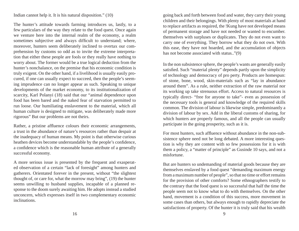Indian cannot help it. It is his natural disposition." (10)

The hunter's attitude towards farming introduces us, lastly, to a few particulars of the way they relate to the food quest. Once again we venture here into the internal realm of the economy, a realm sometimes subjective and always difficult to understand; where, moreover, hunters seem deliberately inclined to overtax our comprehension by customs so odd as to invite the extreme interpretation that either these people are fools or they really have nothing to worry about. The former would be a true logical deduction from the hunter's nonchalance, on the premise that his economic condition is truly exigent. On the other hand, if a livelihood is usually easily procured, if one can usually expect to succeed, then the people's seeming imprudence can no longer appear as such. Speaking to unique developments of the market economy, to its institutionalization of scarcity, Karl Polanyi (18) said that our "animal dependence upon food has been bared and the naked fear of starvation permitted to run loose. Our humiliating enslavement to the material, which all human culture is designed to mitigate, was deliberately made more rigorous" But our problems are not theirs.

Rather, a pristine affluence colours their economic arrangements, a trust in the abundance of nature's resources rather than despair at the inadequacy of human means. My point is that otherwise curious heathen devices become understandable by the people's confidence, a confidence which is the reasonable human attribute of a generally successful economy.

A more serious issue is presented by the frequent and exasperated observation of a certain "lack of foresight" among hunters and gatherers. Orientated forever in the present, without "the slightest thought of, or care for, what the morrow may bring", (19) the hunter seems unwilling to husband supplies, incapable of a planned response to the doom surely awaiting him. He adopts instead a studied unconcern, which expresses itself in two complementary economic inclinations.

going back and forth between food and water, they carry their young children and their belongings. With plenty of most materials at hand to replace artifacts as required, the !Kung have not developed means of permanent storage and have not needed or wanted to encumber. themselves with surpluses or duplicates. They do not even want to carry one of everything. They borrow what they do not own. With this ease, they have not hoarded, and the accumulation of objects has not become associated with status.."(9)

In the non subsistence sphere, the people's wants are generally easily satisfied. Such "material plenty" depends partly upon the simplicity of technology and democracy of pro perty. Products are homespun: of stone, bone, wood, skin-materials such as "lay in abundance around them". As a rule, neither extraction of the raw material nor its working up take strenuous effort. Access to natural resources is typically direct- "free for anyone to take"- even as possession of the necessary tools is general and knowledge of the required skills common. The division of labour is likewise simple, predominantly a division of labour by sex. Add in the liberal customs of sharing, for which hunters are properly famous, and all the people can usually participate in the going prosperity, such as it is.

For most hunters, such affluence without abundance in the non-subsistence sphere need not be long debated. A more interesting question is why they are content with so few possessions for it is with them a policy, a "matter of principle" as Gusinde 10 says, and not a misfortune.

But are hunters so undemanding of material goods because they are themselves enslaved by a food quest "demanding maximum energy from a maximum number of people", so that no time or effort remains for the provision of other comforts? Some ethnographers testify to the contrary that the food quest is so successful that half the time the people seem not to know what to do with themselves. On the other hand, movement is a condition of this success, more movement in some cases than others, but always enough to rapidly depreciate the satisfactions of property. Of the hunter it is truly said that his wealth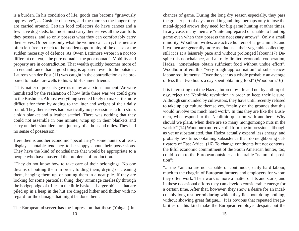is a burden. In his condition of life, goods can become "grievously oppressive", as Gusinde observes, and the more so the longer they are carried around. Certain food collectors do have canoes and a few have dog sleds, but most must carry themselves all the comforts they possess, and so only possess what they can comfortably carry themselves. Or perhaps only what the women can carry: the men are often left free to reach to the sudden opportunity of the chase or the sudden necessity of defence. As Owen Lattimore wrote in a not too different context, "the pure nomad is the poor nomad". Mobility and property are in contradiction. That wealth quickly becomes more of an encumbrance than a good thing is apparent even to the outsider. Laurens van der Post (11) was caught in the contradiction as he prepared to make farewells to his wild Bushmen friends:

"This matter of presents gave us many an anxious moment. We were humiliated by the realisation of how little there was we could give to the Bushmen. Almost everything seemed likely to make life more difficult for them by adding to the litter and weight of their daily round. They themselves had practically no possessions: a loin strap, a skin blanket and a leather satchel. There was nothing that they could not assemble in one minute, wrap up in their blankets and carry on their shoulders for a journey of a thousand miles. They had no sense of possession."

Here then is another economic "peculiarity"- some hunters at least, display a notable tendency to be sloppy about their possessions. They have the kind of nonchalance that would be appropriate to a people who have mastered the problems of production.

"They do not know how to take care of their belongings. No one dreams of putting them in order, folding them, drying or cleaning them, hanging them up, or putting them in a neat pile. If they are looking for some particular thing, they rummage carelessly through the hodgepodge of trifles in the little baskets. Larger objects that are piled up in a heap in the hut are dragged hither and thither with no regard for the damage that might be done them.

The European observer has the impression that these (Yahgan) In-

chances of game. During the long dry season especially, they pass the greater part of days on end in gambling, perhaps only to lose the metal-tipped arrows they need for big game hunting at other times. In any case, many men are "quite unprepared or unable to hunt big game even when they possess the necessary arrows". Only a small minority, Woodburn writes, are active hunters of large animals, and if women are generally more assiduous at their vegetable collecting, still it is at a leisurely pace and without prolonged labour.(17) Despite this nonchalance, and an only limited economic cooperation, Hadza "nonetheless obtain sufficient food without undue effort". Woodburn offers this "very rough approximation" of subsistencelabour requirements: "Over the year as a whole probably an average of less than two hours a day spent obtaining food" (Woodburn.16)

It is interesting that the Hazda, tutored by life and not by anthropology, reject the Neolithic revolution in order to keep their leisure. Although surrounded by cultivators, they have until recently refused to take up agriculture themselves, "mainly on the grounds that this would involve too much hard work". In this they are like the Bushmen, who respond to the Neolithic question with another: "Why should we plant, when there are so many mongomongo nuts m the world?" (14) Woodburn moreover did form the impression, although as yet unsubstantiated, that Hadza actually expend less energy, and probably less time, obtaining subsistence than do neighboring cultivators of East Africa. (16) To change continents but not contents, the fitful economic commitment of the South American hunter, too, could seem to the European outsider an incurable "natural disposition":

"... the Yamana are not capable of continuous, daily hard labour, much to the chagrin of European farmers and employers for whom they often work. Their work is more a matter of fits and starts, and in these occasional efforts they can develop considerable energy for a certain time. After that, however, they show a desire for an incalculably long rest period during which they lie about doing nothing, without showing great fatigue.... It is obvious that repeated irregularities of this kind make the European employer despair, but the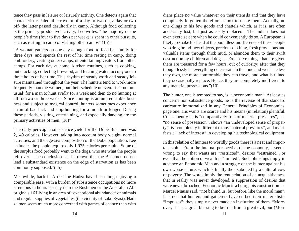tence they pass in leisure or leisurely activity. One detects again that characteristic Paleolithic rhythm of a day or two on, a day or two off- the latter passed desultorily in camp. Although food collecting is the primary productive activity, Lee writes, "the majority of the people's time (four to five days per week) is spent in other pursuits, such as resting in camp or visiting other camps" (15):

"A woman gathers on one day enough food to feed her family for three days, and spends the rest of her time resting in camp, doing embroidery, visiting other camps, or entertaining visitors from other camps. For each day at home, kitchen routines, such as cooking, nut cracking, collecting firewood, and fetching water, occupy one to three hours of her time. This rhythm of steady work and steady leisure maintained throughout the year. The hunters tend to work more frequently than the women, but their schedule uneven. It is 'not unusual' for a man to hunt avidly for a week and then do no hunting at all for two or three weeks. Since hunting is an unpredictable business and subject to magical control, hunters sometimes experience a run of bad luck and stop hunting for a month or longer. During these periods, visiting, entertaining, and especially dancing are the primary activities of men. (16)"

The daily per-capita subsistence yield for the Dobe Bushmen was 2,140 calories. However, taking into account body weight, normal activities, and the age-sex composition of the Dobe population, Lee estimates the people require only 1,975 calories per capita. Some of the surplus food probably went to the dogs, who ate what the people left over. "The conclusion can be drawn that the Bushmen do not lead a substandard existence on the edge of starvation as has been commonly supposed."(15)

Meanwhile, back in Africa the Hadza have been long enjoying a comparable ease, with a burden of subsistence occupations no more strenuous in hours per day than the Bushmen or the Australian Aboriginals.16 Living in an area of "exceptional abundance" of animals and regular supplies of vegetables (the vicinity of Lake Eyasi), Hadza men seem much more concerned with games of chance than with dians place no value whatever on their utensils and that they have completely forgotten the effort it took to make them. Actually, no one clings to his few goods and chattels which, as it is, are often and easily lost, but just as easily replaced... The Indian does not even exercise care when he could conveniently do so. A European is likely to shake his head at the boundless indifference of these people who drag brand-new objects, precious clothing, fresh provisions and valuable items through thick mud, or abandon them to their swift destruction by children and dogs.... Expensive things that are given them are treasured for a few hours, out of curiosity; after that they thoughtlessly let everything deteriorate in the mud and wet. The less they own, the more comfortable they can travel, and what is ruined they occasionally replace. Hence, they are completely indifferent to any material possessions."(10)

The hunter, one is tempted to say, is "uneconomic man". At least as concerns non subsistence goods, he is the reverse of that standard caricature immortalized in any General Principles of Economics, page one. His wants are scarce and his means (in relation) plentiful. Consequently he is "comparatively free of material pressures", has "no sense of possession", shows "an undeveloped sense of property", is "completely indifferent to any material pressures", and manifests a "lack of interest" in developing his technological equipment.

In this relation of hunters to worldly goods there is a neat and important point. From the internal perspective of the economy, it seems wrong to say that wants are "restricted", desires "restrained", or even that the notion of wealth is "limited". Such phrasings imply in advance an Economic Man and a struggle of the hunter against his own worse nature, which is finally then subdued by a cultural vow of poverty. The words imply the renunciation of an acquisitiveness that in reality was never developed, a suppression of desires that were never broached. Economic Man is a bourgeois construction- as Marcel Mauss said, "not behind us, but before, like the moral man". It is not that hunters and gatherers have curbed their materialistic "impulses"; they simply never made an institution of them. "Moreover, if it is a great blessing to be free from a great evil, our (Mon-